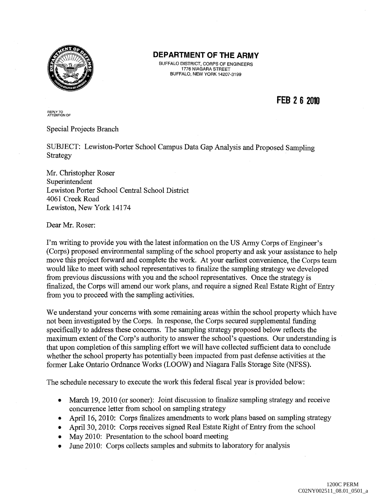

# **DEPARTMENT OF THE ARMY**

BUFFALO DISTRICT, CORPS OF ENGINEERS 1776 NIAGARA STREET BUFFALO, NEW YORK 14207-3199

**FEB 2 6 2010** 

REPLY TO<br>ATTENTION OF

Special Projects Branch

SUBJECT: Lewiston-Porter School Campus Data Gap Analysis and Proposed Sampling Strategy

Mr. Christopher Roser Superintendent Lewiston Porter School Central School District 4061 Creek Road Lewiston, New York 14174

Dear Mr. Roser:

I'm writing to provide you with the latest information on the US Army Corps of Engineer's (Corps) proposed environmental sampling of the school property and ask your assistance to help move this project forward and complete the work. At your earliest convenience, the Corps team would like to meet with school representatives to finalize the sampling strategy we developed from previous discussions with you and the school representatives. Once the strategy is finalized, the Corps will amend our work plans, and require a signed Real Estate Right of Entry from you to proceed with the sampling activities.

We understand your concerns with some remaining areas within the school property which have not been investigated by the Corps. In response, the Corps secured supplemental funding specifically to address these concerns. The sampling strategy proposed below reflects the maximum extent of the Corp's authority to answer the school's questions. Our understanding is that upon completion of this sampling effort we will have collected sufficient data to conclude whether the school property has potentially been impacted from past defense activities at the former Lake Ontario Ordnance Works (LOOW) and Niagara Falls Storage Site (NFSS).

The schedule necessary to execute the work this federal fiscal year is provided below:

- March 19, 2010 (or sooner): Joint discussion to finalize sampling strategy and receive concurrence letter from school on sampling strategy
- April 16, 2010: Corps finalizes amendments to work plans based on sampling strategy
- April 30, 2010: Corps receives signed Real Estate Right of Entry from the school
- May 2010: Presentation to the school board meeting
- June 2010: Corps collects samples and submits to laboratory for analysis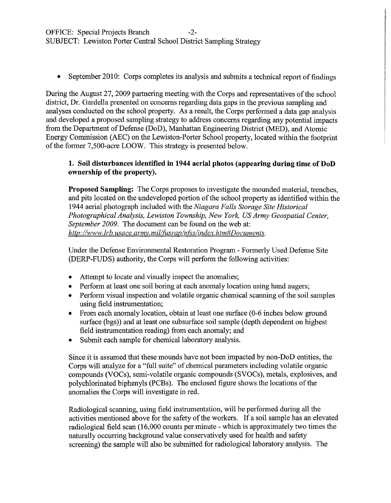OFFICE: Special Projects Branch -2-

SUBJECT: Lewiston Porter Central School District Sampling Strategy

• September 2010: Corps completes its analysis and submits a technical report of findings

During the August 27, 2009 partnering meeting with the Corps and representatives of the school district, Dr. Gardella presented on concerns regarding data gaps in the previous sampling and analyses conducted on the school property. As a result, the Corps performed a data gap analysis and developed a proposed sampling strategy to address concerns regarding any potential impacts from the Department of Defense (DoD), Manhattan Engineering District (MED), and Atomic Energy Commission (AEC) on the Lewiston-Porter School property, located within the footprint of the former 7,500-acre LOOW. This strategy is presented below.

## **1. Soil disturbances identified in 1944 aerial photos (appearing during time of DoD ownership of the property).**

**Proposed Sampling:** The Corps proposes to investigate the mounded material, trenches, and pits located on the undeveloped portion of the school property as identified within the 1944 aerial photograph included with the *Niagara Falls Storage Site Historical Photographical Analysis, Lewiston Township, New York, US Army Geospatial Center, September 2009.* The document can be found on the web at: *http://¥vww. lrb. us ace. army. millfusrapln{Sslindex. htm#Documents.* 

Under the Defense Environmental Restoration Program - Formerly Used Defense Site (DERP-FUDS) authority, the Corps will perform the following activities:

- Attempt to locate and visually inspect the anomalies;
- Perform at least one soil boring at each anomaly location using hand augers;
- Perform visual inspection and volatile organic chemical scanning of the soil samples using field instrumentation;
- From each anomaly location, obtain at least one surface (0-6 inches below ground surface (bgs)) and at least one subsurface soil sample (depth dependent on highest field instrumentation reading) from each anomaly; and
- Submit each sample for chemical laboratory analysis.

Since it is assumed that these mounds have not been impacted by non-DoD entities, the Corps will analyze for a "full suite" of chemical parameters including volatile organic compounds (VOCs), semi-volatile organic compounds (SVOCs), metals, explosives, and polychlorinated biphenyls (PCBs). The enclosed figure shows the locations of the anomalies the Corps will investigate in red.

Radiological scanning, using field instrumentation, will be performed during all the activities mentioned above for the safety of the workers. If a soil sample has an elevated radiological field scan (16,000 counts per minute - which is approximately two times the naturally occurring background value conservatively used for health and safety screening) the sample will also be submitted for radiological laboratory analysis. The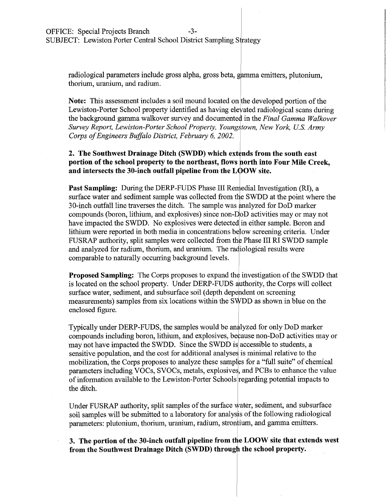radiological parameters include gross alpha, gross beta, gamma emitters, plutonium, radiological parameters include gross alpha, gross beta, gamma<br>thorium, uranium, and radium.

**Note:** This assessment includes a soil mound located on the developed portion of the Lewiston-Porter School property identified as having elevated radiological scans during the background gamma walkover survey and documented in the *Final Gamma Walkover Survey Report, Lewiston-Porter School Property, Youngl*<sup>1</sup> *town, New York, U.S. Army Corps of Engineers Buffalo District, February 6, 2002.* 

# **2. The Southwest Drainage Ditch (SWDD) which extends from the south east portion of the school property to the northeast, flows horth into Four Mile Creek,**  and intersects the 30-inch outfall pipeline from the LOOW site.

**Past Sampling:** During the DERP-FUDS Phase III Remedial Investigation (RI), a surface water and sediment sample was collected from the SWDD at the point where the 30-inch outfall line traverses the ditch. The sample was analyzed for DoD marker compounds (boron, lithium, and explosives) since non-D<sub>o</sub>D activities may or may not have impacted the SWDD. No explosives were detected in either sample. Boron and lithium were reported in both media in concentrations below screening criteria. Under FUSRAP authority, split samples were collected from the Phase III RI SWDD sample and analyzed for radium, thorium, and uranium. The radiological results were comparable to naturally occurring background levels.

**Proposed Sampling:** The Corps proposes to expand the investigation of the SWDD that is located on the school property. Under DERP-FUDS authority, the Corps will collect surface water, sediment, and subsurface soil (depth dependent on screening measurements) samples from six locations within the SWDD as sh surface water, sediment, and subsurface soil (depth dependent on screening measurements) samples from six locations within the SWDD as shown in blue on the

Typically under DERP-FUDS, the samples would be analyzed for only DoD marker compounds including boron, lithium, and explosives, because non-DoD activities may or may not have impacted the SWDD. Since the SWDD is accessible to students, a sensitive population, and the cost for additional analyses is minimal relative to the mobilization, the Corps proposes to analyze these samples for a "full suite" of chemical parameters including VOCs, SVOCs, metals, explosives, and PCBs to enhance the value of information available to the Lewiston-Porter Schools regarding potential impacts to the ditch.

Under FUSRAP authority, split samples of the surface water, sediment, and subsurface soil samples will be submitted to a laboratory for analysis of the following radiological parameters: plutonium, thorium, uranium, radium, strontium, and gamma emitters.

3. The portion of the 30-inch outfall pipeline from the LOOW site that extends west from the Southwest Drainage Ditch (SWDD) through the school property.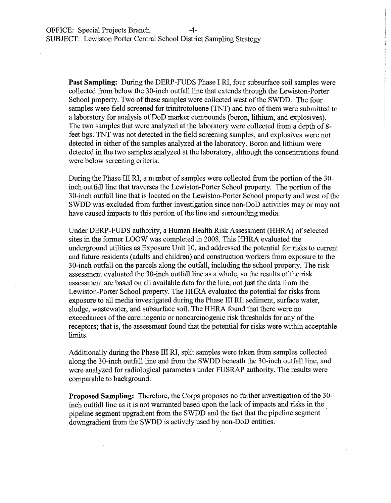**Past Sampling:** During the DERP-FUDS Phase I RI, four subsurface soil samples were collected from below the 30-inch outfall line that extends through the Lewiston-Porter School property. Two of these samples were collected west of the SWDD. The four samples were field screened for trinitrotoluene (TNT) and two of them were submitted to a laboratory for analysis of DoD marker compounds (boron, lithium, and explosives). The two samples that were analyzed at the laboratory were collected from a depth of 8 feet bgs. TNT was not detected in the field screening samples, and explosives were not detected in either of the samples analyzed at the laboratory. Boron and lithium were detected in the two samples analyzed at the laboratory, although the concentrations found were below screening criteria.

During the Phase III RI, a number of samples were collected from the portion of the 30 inch outfall line that traverses the Lewiston-Porter School property. The portion of the 30-inch outfall line that is located on the Lewiston-Porter School property and west of the SWDD was excluded from further investigation since non-DoD activities may or may not have caused impacts to this portion of the line and surrounding media.

Under DERP-FUDS authority, a Human Health Risk Assessment (HHRA) of selected sites in the former LOOW was completed in 2008. This HHRA evaluated the underground utilities as Exposure Unit 10, and addressed the potential for risks to current and future residents (adults and children) and construction workers from exposure to the 30-inch outfall on the parcels along the outfall, including the school property. The risk assessment evaluated the 30-inch outfall line as a whole, so the results of the risk assessment are based on all available data for the line, not just the data from the Lewiston-Porter School property. The HHRA evaluated the potential for risks from exposure to all media investigated during the Phase III RI: sediment, surface water, sludge, wastewater, and subsurface soil. The HHRA found that there were no exceedances of the carcinogenic or noncarcinogenic risk thresholds for any of the receptors; that is, the assessment found that the potential for risks were within acceptable limits.

Additionally during the Phase III RI, split samples were taken from samples collected along the 30-inch outfall line and from the SWDD beneath the 30-inch outfall line, and were analyzed for radiological parameters under FUSRAP authority. The results were comparable to background.

**Proposed Sampling:** Therefore, the Corps proposes no further investigation of the 30 inch outfall line as it is not warranted based upon the lack of impacts and risks in the pipeline segment upgradient from the SWDD and the fact that the pipeline segment downgradient from the SWDD is actively used by non-DoD entities.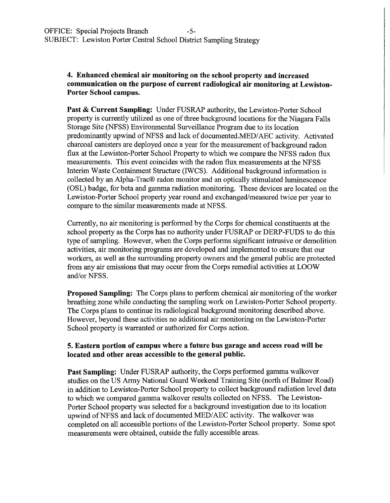## **4. Enhanced chemical air monitoring on the school property and increased communication on the purpose of current radiological air monitoring at Lewiston-Porter School campus.**

**Past & Current Sampling:** Under FUSRAP authority, the Lewiston-Porter School property is currently utilized as one of three background locations for the Niagara Falls Storage Site (NFSS) Environmental Surveillance Program due to its location predominantly upwind of NFSS and lack of documented.MED/AEC activity. Activated charcoal canisters are deployed once a year for the measurement of background radon flux at the Lewiston-Porter School Property to which we compare the NFSS radon flux measurements. This event coincides with the radon flux measurements at the NFSS Interim Waste Containment Structure (IWCS). Additional background information is collected by an Alpha-Trac® radon monitor and an optically stimulated luminescence (OSL) badge, for beta and gamma radiation monitoring. These devices are located on the Lewiston-Porter School property year round and exchanged/measured twice per year to compare to the similar measurements made at NFSS.

Currently, no air monitoring is performed by the Corps for chemical constituents at the school property as the Corps has no authority under FUSRAP or DERP-FUDS to do this type of sampling. However, when the Corps performs significant intrusive or demolition activities, air monitoring programs are developed and implemented to ensure that our workers, as well as the surrounding property owners and the general public are protected from any air emissions that may occur from the Corps remedial activities at LOOW and/or NFSS.

**Proposed Sampling:** The Corps plans to perform chemical air monitoring of the worker breathing zone while conducting the sampling work on Lewiston-Porter School property. The Corps plans to continue its radiological background monitoring described above. However, beyond these activities no additional air monitoring on the Lewiston-Porter School property is warranted or authorized for Corps action.

#### **5. Eastern portion of campus where a future bus garage and access road will be located and other areas accessible to the general public.**

**Past Sampling:** Under FUSRAP authority, the Corps performed gamma walkover studies on the US Army National Guard Weekend Training Site (north of Balmer Road) in addition to Lewiston-Porter School property to collect background radiation level data to which we compared gamma walkover results collected on NFSS. The Lewiston-Porter School property was selected for a background investigation due to its location upwind ofNFSS and lack of documented MED/AEC activity. The walkover was completed on all accessible portions of the Lewiston-Porter School property. Some spot measurements were obtained, outside the fully accessible areas.